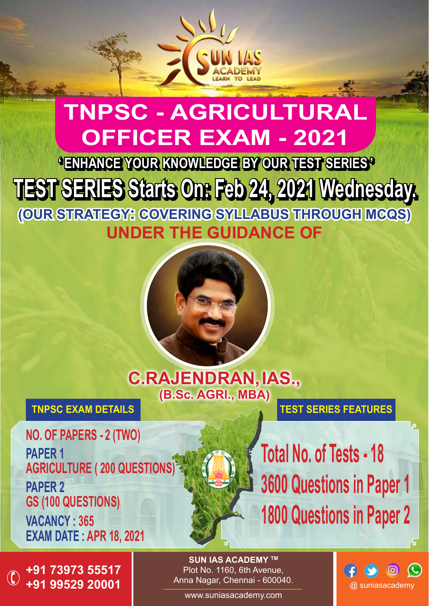

# **TNPSC - AGRICULTURAL OFFICER EXAM - 2021**

**' ENHANCE YOUR KNOWLEDGE BY OUR TEST SERIES ' TEST SERIES Starts On: Feb 24, 2021 Wednesday. (OUR STRATEGY: COVERING SYLLABUS THROUGH MCQS) UNDER THE GUIDANCE OF**



**C.RAJENDRAN, IAS., (B.Sc. AGRI., MBA)**

**TNPSC EXAM DETAILS**

**NO. OF PAPERS - 2 (TWO) PAPER 1 AGRICULTURE ( 200 QUESTIONS) PAPER 2 GS (100 QUESTIONS) VACANCY : 365 EXAM DATE : APR 18, 2021**

**+91 73973 55517 +91 99529 20001**  $\bigcirc$ 

**SUN IAS ACADEMY TM** Plot No. 1160, 6th Avenue, Anna Nagar, Chennai - 600040.

www.suniasacademy.com



**TEST SERIES FEATURES**

**3600 Questions in Paper 1**

**1800 Questions in Paper 2**

**Total No. of Tests - 18**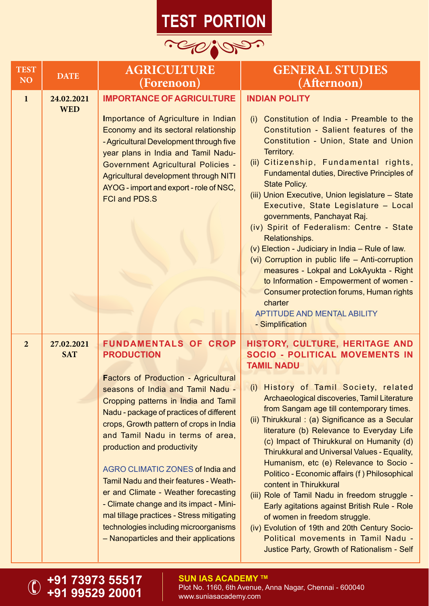## **TEST PORTION**



| <b>TEST</b><br>NO <sub>1</sub> | <b>DATE</b>              | <b>AGRICULTURE</b><br>(Forenoon)                                                                                                                                                                                                                                                                                                                                                                                                                                                                                                                                                                                                               | <b>GENERAL STUDIES</b><br>(Afternoon)                                                                                                                                                                                                                                                                                                                                                                                                                                                                                                                                                                                                                                                                                                                                                                                             |
|--------------------------------|--------------------------|------------------------------------------------------------------------------------------------------------------------------------------------------------------------------------------------------------------------------------------------------------------------------------------------------------------------------------------------------------------------------------------------------------------------------------------------------------------------------------------------------------------------------------------------------------------------------------------------------------------------------------------------|-----------------------------------------------------------------------------------------------------------------------------------------------------------------------------------------------------------------------------------------------------------------------------------------------------------------------------------------------------------------------------------------------------------------------------------------------------------------------------------------------------------------------------------------------------------------------------------------------------------------------------------------------------------------------------------------------------------------------------------------------------------------------------------------------------------------------------------|
| $\mathbf{1}$                   | 24.02.2021<br><b>WED</b> | <b>IMPORTANCE OF AGRICULTURE</b><br>Importance of Agriculture in Indian<br>Economy and its sectoral relationship<br>- Agricultural Development through five<br>year plans in India and Tamil Nadu-<br><b>Government Agricultural Policies -</b><br>Agricultural development through NITI<br>AYOG - import and export - role of NSC,<br><b>FCI and PDS.S</b>                                                                                                                                                                                                                                                                                    | <b>INDIAN POLITY</b><br>Constitution of India - Preamble to the<br>(i)<br>Constitution - Salient features of the<br>Constitution - Union, State and Union<br>Territory.<br>(ii) Citizenship, Fundamental rights,<br>Fundamental duties, Directive Principles of<br><b>State Policy.</b><br>(iii) Union Executive, Union legislature - State<br>Executive, State Legislature - Local<br>governments, Panchayat Raj.<br>(iv) Spirit of Federalism: Centre - State<br>Relationships.<br>(v) Election - Judiciary in India - Rule of law.<br>(vi) Corruption in public life - Anti-corruption<br>measures - Lokpal and LokAyukta - Right<br>to Information - Empowerment of women -<br>Consumer protection forums, Human rights<br>charter<br><b>APTITUDE AND MENTAL ABILITY</b><br>- Simplification                                  |
| $\overline{2}$                 | 27.02.2021<br><b>SAT</b> | <b>FUNDAMENTALS OF CROP</b><br><b>PRODUCTION</b><br><b>Factors of Production - Agricultural</b><br>seasons of India and Tamil Nadu -<br>Cropping patterns in India and Tamil<br>Nadu - package of practices of different<br>crops, Growth pattern of crops in India<br>and Tamil Nadu in terms of area,<br>production and productivity<br><b>AGRO CLIMATIC ZONES of India and</b><br>Tamil Nadu and their features - Weath-<br>er and Climate - Weather forecasting<br>- Climate change and its impact - Mini-<br>mal tillage practices - Stress mitigating<br>technologies including microorganisms<br>- Nanoparticles and their applications | HISTORY, CULTURE, HERITAGE AND<br><b>SOCIO - POLITICAL MOVEMENTS IN</b><br><b>TAMIL NADU</b><br>History of Tamil Society, related<br>(i)<br>Archaeological discoveries, Tamil Literature<br>from Sangam age till contemporary times.<br>(ii) Thirukkural: (a) Significance as a Secular<br>literature (b) Relevance to Everyday Life<br>(c) Impact of Thirukkural on Humanity (d)<br>Thirukkural and Universal Values - Equality,<br>Humanism, etc (e) Relevance to Socio -<br>Politico - Economic affairs (f) Philosophical<br>content in Thirukkural<br>(iii) Role of Tamil Nadu in freedom struggle -<br>Early agitations against British Rule - Role<br>of women in freedom struggle.<br>(iv) Evolution of 19th and 20th Century Socio-<br>Political movements in Tamil Nadu -<br>Justice Party, Growth of Rationalism - Self |

#### **SUN IAS ACADEMY ™**

**+91 73973 55517 +91 99529 20001**

 $\bigcirc$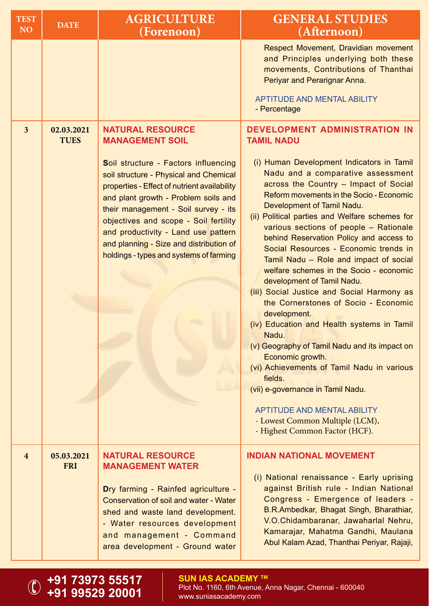| <b>TEST</b><br>NO <sub>1</sub> | <b>DATE</b>               | <b>AGRICULTURE</b><br>(Forenoon)                                                                                                                                                                                                                                                                                                                                                                                                          | <b>GENERAL STUDIES</b><br>(Afternoon)                                                                                                                                                                                                                                                                                                                                                                                                                                                                                                                                                                                                                                                                                                                                                                                                                                                                                                                                                                        |
|--------------------------------|---------------------------|-------------------------------------------------------------------------------------------------------------------------------------------------------------------------------------------------------------------------------------------------------------------------------------------------------------------------------------------------------------------------------------------------------------------------------------------|--------------------------------------------------------------------------------------------------------------------------------------------------------------------------------------------------------------------------------------------------------------------------------------------------------------------------------------------------------------------------------------------------------------------------------------------------------------------------------------------------------------------------------------------------------------------------------------------------------------------------------------------------------------------------------------------------------------------------------------------------------------------------------------------------------------------------------------------------------------------------------------------------------------------------------------------------------------------------------------------------------------|
|                                |                           |                                                                                                                                                                                                                                                                                                                                                                                                                                           | Respect Movement, Dravidian movement<br>and Principles underlying both these<br>movements, Contributions of Thanthai<br>Periyar and Perarignar Anna.<br><b>APTITUDE AND MENTAL ABILITY</b><br>- Percentage                                                                                                                                                                                                                                                                                                                                                                                                                                                                                                                                                                                                                                                                                                                                                                                                   |
| $\overline{\mathbf{3}}$        | 02.03.2021<br><b>TUES</b> | <b>NATURAL RESOURCE</b><br><b>MANAGEMENT SOIL</b><br>Soil structure - Factors influencing<br>soil structure - Physical and Chemical<br>properties - Effect of nutrient availability<br>and plant growth - Problem soils and<br>their management - Soil survey - its<br>objectives and scope - Soil fertility<br>and productivity - Land use pattern<br>and planning - Size and distribution of<br>holdings - types and systems of farming | <b>DEVELOPMENT ADMINISTRATION IN</b><br><b>TAMIL NADU</b><br>(i) Human Development Indicators in Tamil<br>Nadu and a comparative assessment<br>across the Country - Impact of Social<br>Reform movements in the Socio - Economic<br>Development of Tamil Nadu.<br>(ii) Political parties and Welfare schemes for<br>various sections of people - Rationale<br>behind Reservation Policy and access to<br>Social Resources - Economic trends in<br>Tamil Nadu - Role and impact of social<br>welfare schemes in the Socio - economic<br>development of Tamil Nadu.<br>(iii) Social Justice and Social Harmony as<br>the Cornerstones of Socio - Economic<br>development.<br>(iv) Education and Health systems in Tamil<br>Nadu.<br>(v) Geography of Tamil Nadu and its impact on<br>Economic growth.<br>(vi) Achievements of Tamil Nadu in various<br>fields.<br>(vii) e-governance in Tamil Nadu.<br><b>APTITUDE AND MENTAL ABILITY</b><br>- Lowest Common Multiple (LCM),<br>- Highest Common Factor (HCF). |
| $\overline{\mathbf{4}}$        | 05.03.2021<br><b>FRI</b>  | <b>NATURAL RESOURCE</b><br><b>MANAGEMENT WATER</b><br>Dry farming - Rainfed agriculture -<br><b>Conservation of soil and water - Water</b><br>shed and waste land development.<br>- Water resources development<br>and management - Command<br>area development - Ground water                                                                                                                                                            | <b>INDIAN NATIONAL MOVEMENT</b><br>(i) National renaissance - Early uprising<br>against British rule - Indian National<br>Congress - Emergence of leaders -<br>B.R.Ambedkar, Bhagat Singh, Bharathiar,<br>V.O.Chidambaranar, Jawaharlal Nehru,<br>Kamarajar, Mahatma Gandhi, Maulana<br>Abul Kalam Azad, Thanthai Periyar, Rajaji,                                                                                                                                                                                                                                                                                                                                                                                                                                                                                                                                                                                                                                                                           |

**+91 73973 55517 +91 99529 20001**

 $\bigcirc$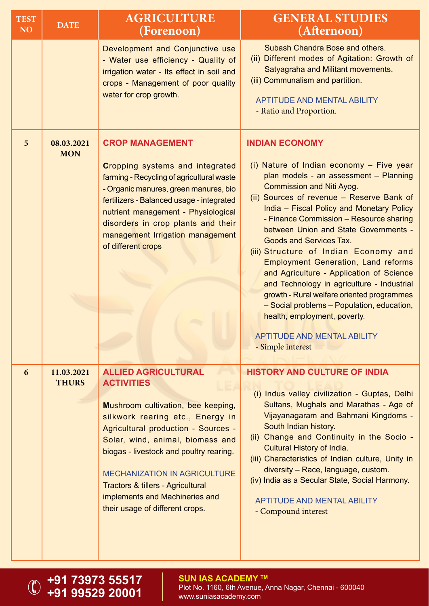| <b>TEST</b><br>NO <sub>1</sub> | <b>DATE</b>                | <b>AGRICULTURE</b><br>(Forenoon)                                                                                                                                                                                                                                                                                                                                                                 | <b>GENERAL STUDIES</b><br>(Afternoon)                                                                                                                                                                                                                                                                                                                                                                                                                                                                                                                                                                                                                                                                                                   |
|--------------------------------|----------------------------|--------------------------------------------------------------------------------------------------------------------------------------------------------------------------------------------------------------------------------------------------------------------------------------------------------------------------------------------------------------------------------------------------|-----------------------------------------------------------------------------------------------------------------------------------------------------------------------------------------------------------------------------------------------------------------------------------------------------------------------------------------------------------------------------------------------------------------------------------------------------------------------------------------------------------------------------------------------------------------------------------------------------------------------------------------------------------------------------------------------------------------------------------------|
|                                |                            | Development and Conjunctive use<br>- Water use efficiency - Quality of<br>irrigation water - Its effect in soil and<br>crops - Management of poor quality<br>water for crop growth.                                                                                                                                                                                                              | Subash Chandra Bose and others.<br>(ii) Different modes of Agitation: Growth of<br>Satyagraha and Militant movements.<br>(iii) Communalism and partition.<br><b>APTITUDE AND MENTAL ABILITY</b><br>- Ratio and Proportion.                                                                                                                                                                                                                                                                                                                                                                                                                                                                                                              |
| 5                              | 08.03.2021<br><b>MON</b>   | <b>CROP MANAGEMENT</b><br>Cropping systems and integrated<br>farming - Recycling of agricultural waste<br>- Organic manures, green manures, bio<br>fertilizers - Balanced usage - integrated<br>nutrient management - Physiological<br>disorders in crop plants and their<br>management Irrigation management<br>of different crops                                                              | <b>INDIAN ECONOMY</b><br>(i) Nature of Indian economy - Five year<br>plan models - an assessment - Planning<br><b>Commission and Niti Ayog.</b><br>(ii) Sources of revenue - Reserve Bank of<br>India - Fiscal Policy and Monetary Policy<br>- Finance Commission - Resource sharing<br>between Union and State Governments -<br><b>Goods and Services Tax.</b><br>(iii) Structure of Indian Economy and<br><b>Employment Generation, Land reforms</b><br>and Agriculture - Application of Science<br>and Technology in agriculture - Industrial<br>growth - Rural welfare oriented programmes<br>- Social problems - Population, education,<br>health, employment, poverty.<br><b>APTITUDE AND MENTAL ABILITY</b><br>- Simple interest |
| 6                              | 11.03.2021<br><b>THURS</b> | <b>ALLIED AGRICULTURAL</b><br><b>ACTIVITIES</b><br>Mushroom cultivation, bee keeping,<br>silkwork rearing etc., Energy in<br>Agricultural production - Sources -<br>Solar, wind, animal, biomass and<br>biogas - livestock and poultry rearing.<br><b>MECHANIZATION IN AGRICULTURE</b><br>Tractors & tillers - Agricultural<br>implements and Machineries and<br>their usage of different crops. | <b>HISTORY AND CULTURE OF INDIA</b><br>(i) Indus valley civilization - Guptas, Delhi<br>Sultans, Mughals and Marathas - Age of<br>Vijayanagaram and Bahmani Kingdoms -<br>South Indian history.<br>(ii) Change and Continuity in the Socio -<br>Cultural History of India.<br>(iii) Characteristics of Indian culture, Unity in<br>diversity - Race, language, custom.<br>(iv) India as a Secular State, Social Harmony.<br><b>APTITUDE AND MENTAL ABILITY</b><br>- Compound interest                                                                                                                                                                                                                                                   |

#### **+91 73973 55517 +91 99529 20001**

 $\bigcirc$ 

**SUN IAS ACADEMY TM** Plot No. 1160, 6th Avenue, Anna Nagar, Chennai - 600040 www.suniasacademy.com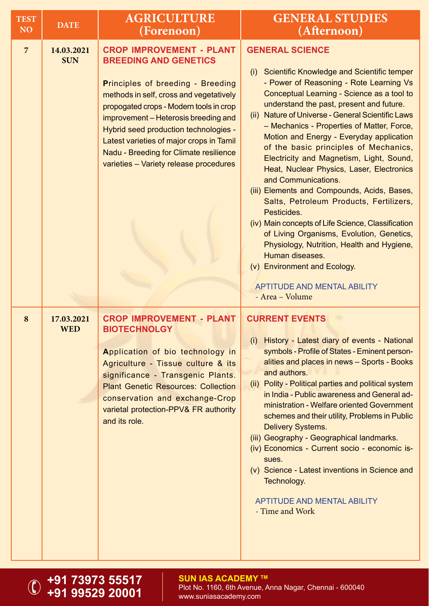| <b>TEST</b><br>NO <sub>1</sub> | <b>DATE</b>              | <b>AGRICULTURE</b><br>(Forenoon)                                                                                                                                                                                                                                                                                                                                                                                   | <b>GENERAL STUDIES</b><br>(Afternoon)                                                                                                                                                                                                                                                                                                                                                                                                                                                                                                                                                                                                                                                                                                                                                                                                                                                                    |
|--------------------------------|--------------------------|--------------------------------------------------------------------------------------------------------------------------------------------------------------------------------------------------------------------------------------------------------------------------------------------------------------------------------------------------------------------------------------------------------------------|----------------------------------------------------------------------------------------------------------------------------------------------------------------------------------------------------------------------------------------------------------------------------------------------------------------------------------------------------------------------------------------------------------------------------------------------------------------------------------------------------------------------------------------------------------------------------------------------------------------------------------------------------------------------------------------------------------------------------------------------------------------------------------------------------------------------------------------------------------------------------------------------------------|
| $\overline{7}$                 | 14.03.2021<br><b>SUN</b> | <b>CROP IMPROVEMENT - PLANT</b><br><b>BREEDING AND GENETICS</b><br><b>Principles of breeding - Breeding</b><br>methods in self, cross and vegetatively<br>propogated crops - Modern tools in crop<br>improvement - Heterosis breeding and<br>Hybrid seed production technologies -<br>Latest varieties of major crops in Tamil<br>Nadu - Breeding for Climate resilience<br>varieties - Variety release procedures | <b>GENERAL SCIENCE</b><br>Scientific Knowledge and Scientific temper<br>(i)<br>- Power of Reasoning - Rote Learning Vs<br>Conceptual Learning - Science as a tool to<br>understand the past, present and future.<br><b>Nature of Universe - General Scientific Laws</b><br>(ii)<br>- Mechanics - Properties of Matter, Force,<br>Motion and Energy - Everyday application<br>of the basic principles of Mechanics,<br>Electricity and Magnetism, Light, Sound,<br>Heat, Nuclear Physics, Laser, Electronics<br>and Communications.<br>(iii) Elements and Compounds, Acids, Bases,<br>Salts, Petroleum Products, Fertilizers,<br>Pesticides.<br>(iv) Main concepts of Life Science, Classification<br>of Living Organisms, Evolution, Genetics,<br>Physiology, Nutrition, Health and Hygiene,<br>Human diseases.<br>(v) Environment and Ecology.<br><b>APTITUDE AND MENTAL ABILITY</b><br>- Area - Volume |
| 8                              | 17.03.2021<br><b>WED</b> | <b>CROP IMPROVEMENT - PLANT</b><br><b>BIOTECHNOLGY</b><br>Application of bio technology in<br>Agriculture - Tissue culture & its<br>significance - Transgenic Plants.<br><b>Plant Genetic Resources: Collection</b><br>conservation and exchange-Crop<br>varietal protection-PPV& FR authority<br>and its role.                                                                                                    | <b>CURRENT EVENTS</b><br>History - Latest diary of events - National<br>(i)<br>symbols - Profile of States - Eminent person-<br>alities and places in news - Sports - Books<br>and authors.<br>(ii) Polity - Political parties and political system<br>in India - Public awareness and General ad-<br>ministration - Welfare oriented Government<br>schemes and their utility, Problems in Public<br><b>Delivery Systems.</b><br>(iii) Geography - Geographical landmarks.<br>(iv) Economics - Current socio - economic is-<br>sues.<br>(v) Science - Latest inventions in Science and<br>Technology.<br><b>APTITUDE AND MENTAL ABILITY</b><br>- Time and Work                                                                                                                                                                                                                                           |

**+91 73973 55517 +91 99529 20001**

 $\bigcirc$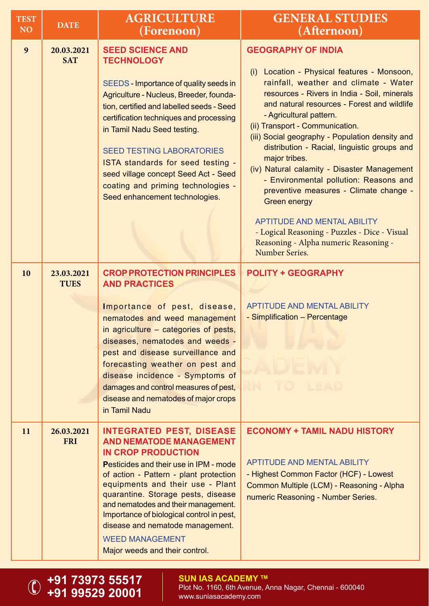| <b>TEST</b><br>NO <sub>1</sub> | <b>DATE</b>               | <b>AGRICULTURE</b><br>(Forenoon)                                                                                                                                                                                                                                                                                                                                                                                                                        | <b>GENERAL STUDIES</b><br>(Afternoon)                                                                                                                                                                                                                                                                                                                                                                                                                                                                                                                                                                                                                                                                             |
|--------------------------------|---------------------------|---------------------------------------------------------------------------------------------------------------------------------------------------------------------------------------------------------------------------------------------------------------------------------------------------------------------------------------------------------------------------------------------------------------------------------------------------------|-------------------------------------------------------------------------------------------------------------------------------------------------------------------------------------------------------------------------------------------------------------------------------------------------------------------------------------------------------------------------------------------------------------------------------------------------------------------------------------------------------------------------------------------------------------------------------------------------------------------------------------------------------------------------------------------------------------------|
| 9                              | 20.03.2021<br><b>SAT</b>  | <b>SEED SCIENCE AND</b><br><b>TECHNOLOGY</b><br>SEEDS - Importance of quality seeds in<br>Agriculture - Nucleus, Breeder, founda-<br>tion, certified and labelled seeds - Seed<br>certification techniques and processing<br>in Tamil Nadu Seed testing.<br><b>SEED TESTING LABORATORIES</b><br>ISTA standards for seed testing -<br>seed village concept Seed Act - Seed<br>coating and priming technologies -<br>Seed enhancement technologies.       | <b>GEOGRAPHY OF INDIA</b><br>Location - Physical features - Monsoon,<br>(i)<br>rainfall, weather and climate - Water<br>resources - Rivers in India - Soil, minerals<br>and natural resources - Forest and wildlife<br>- Agricultural pattern.<br>(ii) Transport - Communication.<br>(iii) Social geography - Population density and<br>distribution - Racial, linguistic groups and<br>major tribes.<br>(iv) Natural calamity - Disaster Management<br>- Environmental pollution: Reasons and<br>preventive measures - Climate change -<br><b>Green energy</b><br><b>APTITUDE AND MENTAL ABILITY</b><br>- Logical Reasoning - Puzzles - Dice - Visual<br>Reasoning - Alpha numeric Reasoning -<br>Number Series. |
| 10                             | 23.03.2021<br><b>TUES</b> | <b>CROP PROTECTION PRINCIPLES</b><br><b>AND PRACTICES</b><br>Importance of pest, disease,<br>nematodes and weed management<br>in agriculture – categories of pests,<br>diseases, nematodes and weeds -<br>pest and disease surveillance and<br>forecasting weather on pest and<br>disease incidence - Symptoms of<br>damages and control measures of pest,<br>disease and nematodes of major crops<br>in Tamil Nadu                                     | <b>POLITY + GEOGRAPHY</b><br><b>APTITUDE AND MENTAL ABILITY</b><br>- Simplification - Percentage                                                                                                                                                                                                                                                                                                                                                                                                                                                                                                                                                                                                                  |
| 11                             | 26.03.2021<br><b>FRI</b>  | <b>INTEGRATED PEST, DISEASE</b><br><b>AND NEMATODE MANAGEMENT</b><br><b>IN CROP PRODUCTION</b><br><b>Pesticides and their use in IPM - mode</b><br>of action - Pattern - plant protection<br>equipments and their use - Plant<br>quarantine. Storage pests, disease<br>and nematodes and their management.<br>Importance of biological control in pest,<br>disease and nematode management.<br><b>WEED MANAGEMENT</b><br>Major weeds and their control. | <b>ECONOMY + TAMIL NADU HISTORY</b><br><b>APTITUDE AND MENTAL ABILITY</b><br>- Highest Common Factor (HCF) - Lowest<br>Common Multiple (LCM) - Reasoning - Alpha<br>numeric Reasoning - Number Series.                                                                                                                                                                                                                                                                                                                                                                                                                                                                                                            |

**+91 73973 55517 +91 99529 20001**

 $\bigcirc$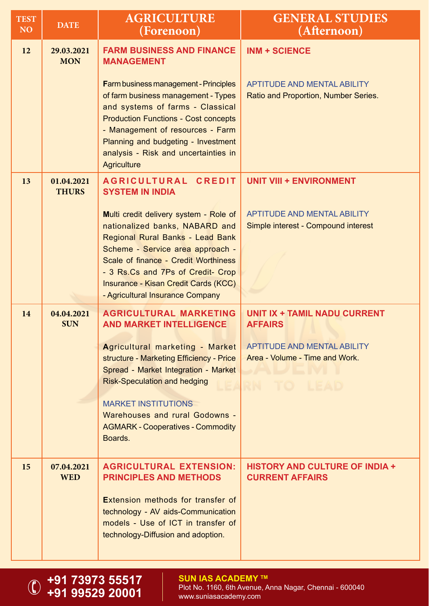| <b>TEST</b><br><b>NO</b> | <b>DATE</b>                | <b>AGRICULTURE</b><br>(Forenoon)                                                                                                                                                                                                                                                                                                                                            | <b>GENERAL STUDIES</b><br>(Afternoon)                                                                                                |
|--------------------------|----------------------------|-----------------------------------------------------------------------------------------------------------------------------------------------------------------------------------------------------------------------------------------------------------------------------------------------------------------------------------------------------------------------------|--------------------------------------------------------------------------------------------------------------------------------------|
| 12                       | 29.03.2021<br><b>MON</b>   | <b>FARM BUSINESS AND FINANCE</b><br><b>MANAGEMENT</b><br><b>Farm business management - Principles</b><br>of farm business management - Types<br>and systems of farms - Classical<br><b>Production Functions - Cost concepts</b><br>- Management of resources - Farm<br>Planning and budgeting - Investment<br>analysis - Risk and uncertainties in<br><b>Agriculture</b>    | <b>INM + SCIENCE</b><br><b>APTITUDE AND MENTAL ABILITY</b><br>Ratio and Proportion, Number Series.                                   |
| 13                       | 01.04.2021<br><b>THURS</b> | <b>AGRICULTURAL</b><br><b>CREDIT</b><br><b>SYSTEM IN INDIA</b><br>Multi credit delivery system - Role of<br>nationalized banks, NABARD and<br>Regional Rural Banks - Lead Bank<br>Scheme - Service area approach -<br>Scale of finance - Credit Worthiness<br>- 3 Rs.Cs and 7Ps of Credit- Crop<br>Insurance - Kisan Credit Cards (KCC)<br>- Agricultural Insurance Company | <b>UNIT VIII + ENVIRONMENT</b><br><b>APTITUDE AND MENTAL ABILITY</b><br>Simple interest - Compound interest                          |
| 14                       | 04.04.2021<br><b>SUN</b>   | <b>AGRICULTURAL MARKETING</b><br><b>AND MARKET INTELLIGENCE</b><br>Agricultural marketing - Market<br>structure - Marketing Efficiency - Price<br>Spread - Market Integration - Market<br><b>Risk-Speculation and hedging</b><br><b>MARKET INSTITUTIONS</b><br>Warehouses and rural Godowns -<br><b>AGMARK - Cooperatives - Commodity</b><br>Boards.                        | <b>UNIT IX + TAMIL NADU CURRENT</b><br><b>AFFAIRS</b><br>APTITUDE AND MENTAL ABILITY<br>Area - Volume - Time and Work.<br>RN TO LEAD |
| 15                       | 07.04.2021<br><b>WED</b>   | <b>AGRICULTURAL EXTENSION:</b><br><b>PRINCIPLES AND METHODS</b><br><b>Extension methods for transfer of</b><br>technology - AV aids-Communication<br>models - Use of ICT in transfer of<br>technology-Diffusion and adoption.                                                                                                                                               | <b>HISTORY AND CULTURE OF INDIA +</b><br><b>CURRENT AFFAIRS</b>                                                                      |

**+91 73973 55517 +91 99529 20001**

 $\bigcirc$